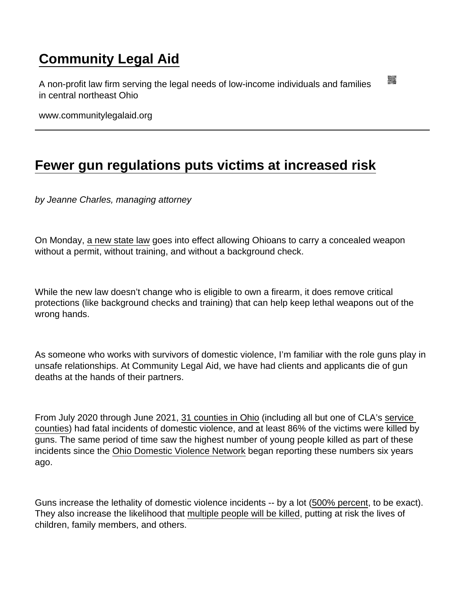## [Community Legal Aid](https://www.communitylegalaid.org/)

A non-profit law firm serving the legal needs of low-income individuals and families in central northeast Ohio

www.communitylegalaid.org

## [Fewer gun regulations puts victims at increased risk](https://www.communitylegalaid.org/node/1738/fewer-gun-regulations-puts-victims-increased-risk)

by Jeanne Charles, managing attorney

On Monday, [a new state law](https://search-prod.lis.state.oh.us/solarapi/v1/general_assembly_134/bills/sb215/EN/05/sb215_05_EN?format=pdf) goes into effect allowing Ohioans to carry a concealed weapon without a permit, without training, and without a background check.

While the new law doesn't change who is eligible to own a firearm, it does remove critical protections (like background checks and training) that can help keep lethal weapons out of the wrong hands.

As someone who works with survivors of domestic violence, I'm familiar with the role guns play in unsafe relationships. At Community Legal Aid, we have had clients and applicants die of gun deaths at the hands of their partners.

From July 2020 through June 2021, [31 counties in Ohio](https://www.odvn.org/wp-content/uploads/2021/10/ODVN_FatalityReport_2020-2021.pdf) (including all but one of CLA's [service](http://www.communitylegalaid.org/locations)  [counties\)](http://www.communitylegalaid.org/locations) had fatal incidents of domestic violence, and at least 86% of the victims were killed by guns. The same period of time saw the highest number of young people killed as part of these incidents since the [Ohio Domestic Violence Network](https://www.odvn.org/) began reporting these numbers six years ago.

Guns increase the lethality of domestic violence incidents -- by a lot ([500% percent,](https://ncadv.org/STATISTICS) to be exact). They also increase the likelihood that [multiple people will be killed,](http://jaapl.org/content/early/2020/02/05/JAAPL.003929-20) putting at risk the lives of children, family members, and others.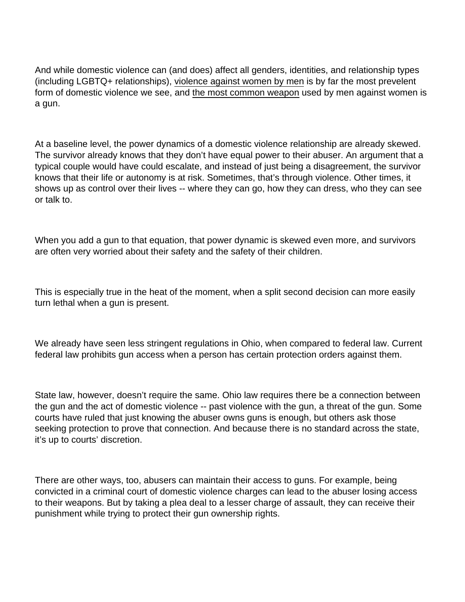And while domestic violence can (and does) affect all genders, identities, and relationship types (including LGBTQ+ relationships), [violence against women by men](https://www.unwomen.org/en/what-we-do/ending-violence-against-women/facts-and-figures) is by far the most prevelent form of domestic violence we see, and [the most common weapon](https://vpc.org/press/nearly-1800-women-murdered-by-men-in-one-year-new-violence-policy-center-study-finds/) used by men against women is a gun.

At a baseline level, the power dynamics of a domestic violence relationship are already skewed. The survivor already knows that they don't have equal power to their abuser. An argument that a typical couple would have could escalate, and instead of just being a disagreement, the survivor knows that their life or autonomy is at risk. Sometimes, that's through violence. Other times, it shows up as control over their lives -- where they can go, how they can dress, who they can see or talk to.

When you add a gun to that equation, that power dynamic is skewed even more, and survivors are often very worried about their safety and the safety of their children.

This is especially true in the heat of the moment, when a split second decision can more easily turn lethal when a gun is present.

We already have seen less stringent regulations in Ohio, when compared to federal law. Current federal law prohibits gun access when a person has certain protection orders against them.

State law, however, doesn't require the same. Ohio law requires there be a connection between the gun and the act of domestic violence -- past violence with the gun, a threat of the gun. Some courts have ruled that just knowing the abuser owns guns is enough, but others ask those seeking protection to prove that connection. And because there is no standard across the state, it's up to courts' discretion.

There are other ways, too, abusers can maintain their access to guns. For example, being convicted in a criminal court of domestic violence charges can lead to the abuser losing access to their weapons. But by taking a plea deal to a lesser charge of assault, they can receive their punishment while trying to protect their gun ownership rights.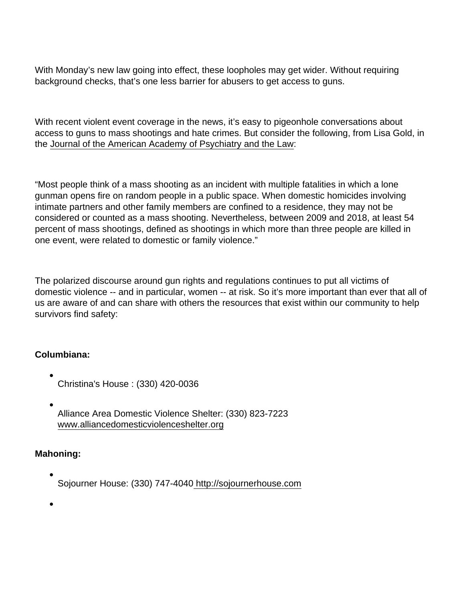With Monday's new law going into effect, these loopholes may get wider. Without requiring background checks, that's one less barrier for abusers to get access to guns.

With recent violent event coverage in the news, it's easy to pigeonhole conversations about access to guns to mass shootings and hate crimes. But consider the following, from Lisa Gold, in the [Journal of the American Academy of Psychiatry and the Law:](http://jaapl.org/content/early/2020/02/05/JAAPL.003929-20)

"Most people think of a mass shooting as an incident with multiple fatalities in which a lone gunman opens fire on random people in a public space. When domestic homicides involving intimate partners and other family members are confined to a residence, they may not be considered or counted as a mass shooting. Nevertheless, between 2009 and 2018, at least 54 percent of mass shootings, defined as shootings in which more than three people are killed in one event, were related to domestic or family violence."

The polarized discourse around gun rights and regulations continues to put all victims of domestic violence -- and in particular, women -- at risk. So it's more important than ever that all of us are aware of and can share with others the resources that exist within our community to help survivors find safety:

Columbiana:

- Christina's House : (330) 420-0036
- Alliance Area Domestic Violence Shelter: (330) 823-7223 [www.alliancedomesticviolenceshelter.org](http://alliancedomesticviolenceshelter.org)

Mahoning:

Sojourner House: (330) 747-4040<http://sojournerhouse.com>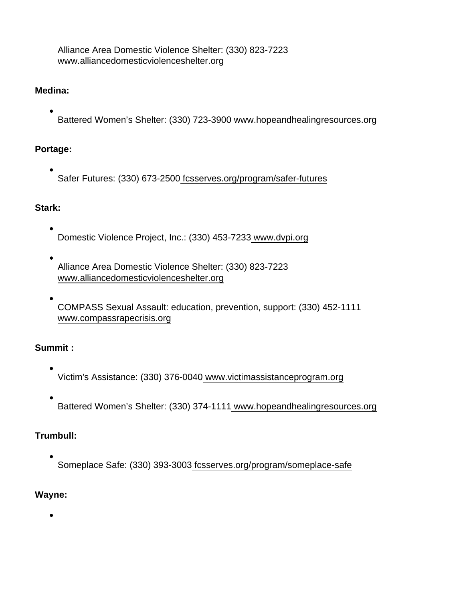Alliance Area Domestic Violence Shelter: (330) 823-7223 [www.alliancedomesticviolenceshelter.org](http://www.alliancedomesticviolenceshelter.org)

Medina:

Battered Women's Shelter: (330) 723-3900 [www.hopeandhealingresources.org](http://www.hopeandhealingresources.org)

Portage:

Safer Futures: (330) 673-250[0 fcsserves.org/program/safer-futures](http://fcsserves.org/program/safer-futures)

Stark:

- Domestic Violence Project, Inc.: (330) 453-7233 [www.dvpi.org](https://www.dvpi.org/)
- Alliance Area Domestic Violence Shelter: (330) 823-7223 [www.alliancedomesticviolenceshelter.org](http://alliancedomesticviolenceshelter.org)
- COMPASS Sexual Assault: education, prevention, support: (330) 452-1111 [www.compassrapecrisis.org](http://www.compassrapecrisis.org)

Summit :

- Victim's Assistance: (330) 376-004[0 www.victimassistanceprogram.org](https://victimassistanceprogram.org)
- Battered Women's Shelter: (330) 374-1111 [www.hopeandhealingresources.org](https://www.hopeandhealingresources.org)

Trumbull:

Someplace Safe: (330) 393-3003 [fcsserves.org/program/someplace-safe](https://fcsserves.org/program/someplace-safe/)

Wayne: